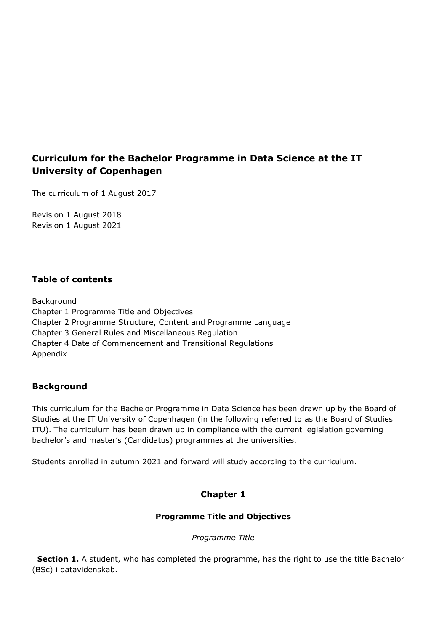# **Curriculum for the Bachelor Programme in Data Science at the IT University of Copenhagen**

The curriculum of 1 August 2017

Revision 1 August 2018 Revision 1 August 2021

## **Table of contents**

Background Chapter 1 Programme Title and Objectives Chapter 2 Programme Structure, Content and Programme Language Chapter 3 General Rules and Miscellaneous Regulation Chapter 4 Date of Commencement and Transitional Regulations Appendix

## **Background**

This curriculum for the Bachelor Programme in Data Science has been drawn up by the Board of Studies at the IT University of Copenhagen (in the following referred to as the Board of Studies ITU). The curriculum has been drawn up in compliance with the current legislation governing bachelor's and master's (Candidatus) programmes at the universities.

Students enrolled in autumn 2021 and forward will study according to the curriculum.

# **Chapter 1**

### **Programme Title and Objectives**

*Programme Title*

**Section 1.** A student, who has completed the programme, has the right to use the title Bachelor (BSc) i datavidenskab.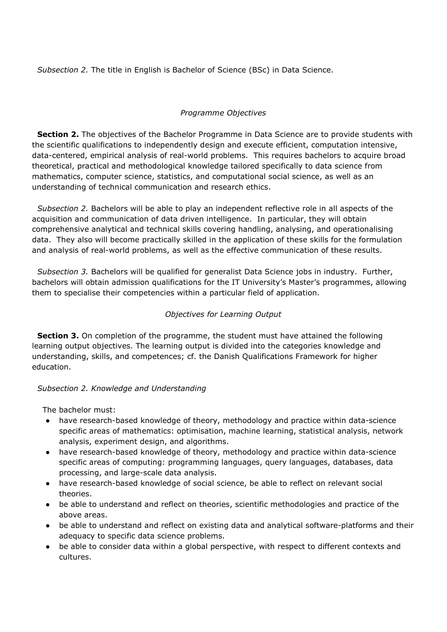*Subsection 2.* The title in English is Bachelor of Science (BSc) in Data Science.

### *Programme Objectives*

**Section 2.** The objectives of the Bachelor Programme in Data Science are to provide students with the scientific qualifications to independently design and execute efficient, computation intensive, data-centered, empirical analysis of real-world problems. This requires bachelors to acquire broad theoretical, practical and methodological knowledge tailored specifically to data science from mathematics, computer science, statistics, and computational social science, as well as an understanding of technical communication and research ethics.

 *Subsection 2.* Bachelors will be able to play an independent reflective role in all aspects of the acquisition and communication of data driven intelligence. In particular, they will obtain comprehensive analytical and technical skills covering handling, analysing, and operationalising data. They also will become practically skilled in the application of these skills for the formulation and analysis of real-world problems, as well as the effective communication of these results.

 *Subsection 3.* Bachelors will be qualified for generalist Data Science jobs in industry. Further, bachelors will obtain admission qualifications for the IT University's Master's programmes, allowing them to specialise their competencies within a particular field of application.

## *Objectives for Learning Output*

**Section 3.** On completion of the programme, the student must have attained the following learning output objectives. The learning output is divided into the categories knowledge and understanding, skills, and competences; cf. the Danish Qualifications Framework for higher education.

## *Subsection 2. Knowledge and Understanding*

The bachelor must:

- have research-based knowledge of theory, methodology and practice within data-science specific areas of mathematics: optimisation, machine learning, statistical analysis, network analysis, experiment design, and algorithms.
- have research-based knowledge of theory, methodology and practice within data-science specific areas of computing: programming languages, query languages, databases, data processing, and large-scale data analysis.
- have research-based knowledge of social science, be able to reflect on relevant social theories.
- be able to understand and reflect on theories, scientific methodologies and practice of the above areas.
- be able to understand and reflect on existing data and analytical software-platforms and their adequacy to specific data science problems.
- be able to consider data within a global perspective, with respect to different contexts and cultures.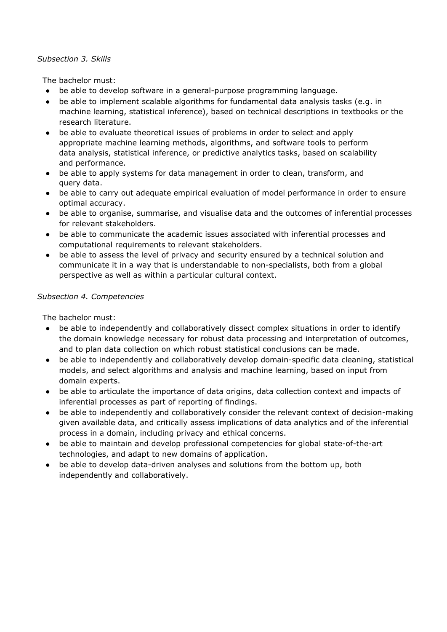#### *Subsection 3. Skills*

The bachelor must:

- be able to develop software in a general-purpose programming language.
- be able to implement scalable algorithms for fundamental data analysis tasks (e.g. in machine learning, statistical inference), based on technical descriptions in textbooks or the research literature.
- be able to evaluate theoretical issues of problems in order to select and apply appropriate machine learning methods, algorithms, and software tools to perform data analysis, statistical inference, or predictive analytics tasks, based on scalability and performance.
- be able to apply systems for data management in order to clean, transform, and query data.
- be able to carry out adequate empirical evaluation of model performance in order to ensure optimal accuracy.
- be able to organise, summarise, and visualise data and the outcomes of inferential processes for relevant stakeholders.
- be able to communicate the academic issues associated with inferential processes and computational requirements to relevant stakeholders.
- be able to assess the level of privacy and security ensured by a technical solution and communicate it in a way that is understandable to non-specialists, both from a global perspective as well as within a particular cultural context.

### *Subsection 4. Competencies*

The bachelor must:

- be able to independently and collaboratively dissect complex situations in order to identify the domain knowledge necessary for robust data processing and interpretation of outcomes, and to plan data collection on which robust statistical conclusions can be made.
- be able to independently and collaboratively develop domain-specific data cleaning, statistical models, and select algorithms and analysis and machine learning, based on input from domain experts.
- be able to articulate the importance of data origins, data collection context and impacts of inferential processes as part of reporting of findings.
- be able to independently and collaboratively consider the relevant context of decision-making given available data, and critically assess implications of data analytics and of the inferential process in a domain, including privacy and ethical concerns.
- be able to maintain and develop professional competencies for global state-of-the-art technologies, and adapt to new domains of application.
- be able to develop data-driven analyses and solutions from the bottom up, both independently and collaboratively.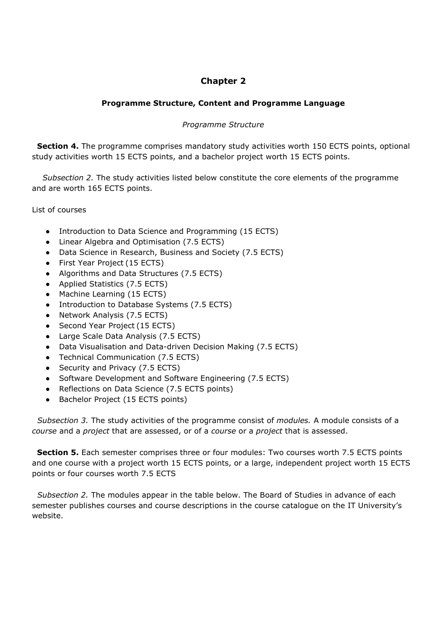# **Chapter 2**

### **Programme Structure, Content and Programme Language**

### *Programme Structure*

 **Section 4.** The programme comprises mandatory study activities worth 150 ECTS points, optional study activities worth 15 ECTS points, and a bachelor project worth 15 ECTS points.

*Subsection 2.* The study activities listed below constitute the core elements of the programme and are worth 165 ECTS points.

List of courses

- Introduction to Data Science and Programming (15 ECTS)
- Linear Algebra and Optimisation (7.5 ECTS)
- Data Science in Research, Business and Society (7.5 ECTS)
- First Year Project (15 ECTS)
- Algorithms and Data Structures (7.5 ECTS)
- Applied Statistics (7.5 ECTS)
- Machine Learning (15 ECTS)
- Introduction to Database Systems (7.5 ECTS)
- Network Analysis (7.5 ECTS)
- Second Year Project (15 ECTS)
- Large Scale Data Analysis (7.5 ECTS)
- Data Visualisation and Data-driven Decision Making (7.5 ECTS)
- Technical Communication (7.5 ECTS)
- Security and Privacy (7.5 ECTS)
- Software Development and Software Engineering (7.5 ECTS)
- Reflections on Data Science (7.5 ECTS points)
- Bachelor Project (15 ECTS points)

 *Subsection 3.* The study activities of the programme consist of *modules.* A module consists of a *course* and a *project* that are assessed, or of a *course* or a *project* that is assessed.

**Section 5.** Each semester comprises three or four modules: Two courses worth 7.5 ECTS points and one course with a project worth 15 ECTS points, or a large, independent project worth 15 ECTS points or four courses worth 7.5 ECTS

 *Subsection 2.* The modules appear in the table below. The Board of Studies in advance of each semester publishes courses and course descriptions in the course catalogue on the IT University's website.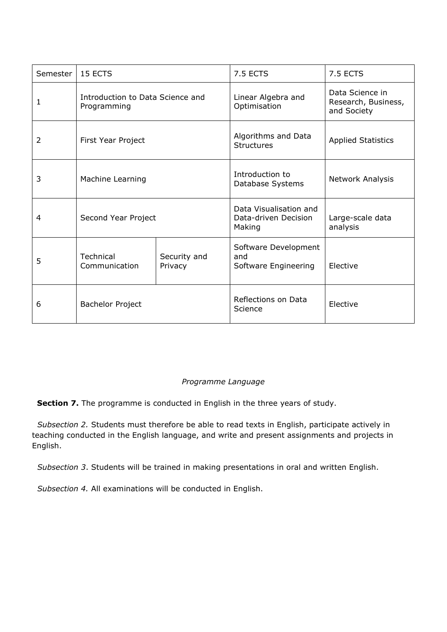| Semester | 15 ECTS                                         |                         | 7.5 ECTS                                                 | 7.5 ECTS                                              |
|----------|-------------------------------------------------|-------------------------|----------------------------------------------------------|-------------------------------------------------------|
| 1        | Introduction to Data Science and<br>Programming |                         | Linear Algebra and<br>Optimisation                       | Data Science in<br>Research, Business,<br>and Society |
| 2        | First Year Project                              |                         | Algorithms and Data<br><b>Structures</b>                 | <b>Applied Statistics</b>                             |
| 3        | Machine Learning                                |                         | Introduction to<br>Database Systems                      | Network Analysis                                      |
| 4        | Second Year Project                             |                         | Data Visualisation and<br>Data-driven Decision<br>Making | Large-scale data<br>analysis                          |
| 5        | Technical<br>Communication                      | Security and<br>Privacy | Software Development<br>and<br>Software Engineering      | Elective                                              |
| 6        | <b>Bachelor Project</b>                         |                         | Reflections on Data<br>Science                           | Elective                                              |

## *Programme Language*

**Section 7.** The programme is conducted in English in the three years of study.

 *Subsection 2.* Students must therefore be able to read texts in English, participate actively in teaching conducted in the English language, and write and present assignments and projects in English.

 *Subsection 3*. Students will be trained in making presentations in oral and written English.

*Subsection 4.* All examinations will be conducted in English.